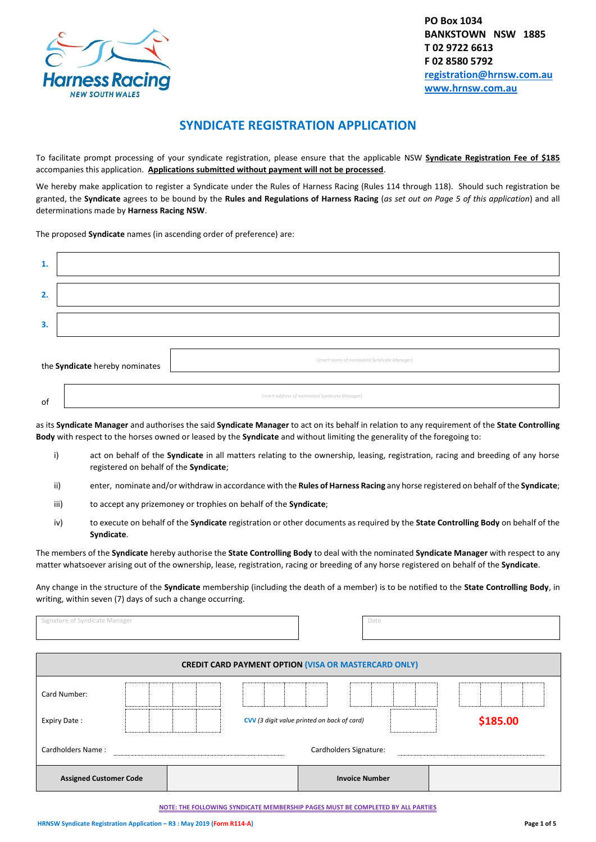

# **SYNDICATE REGISTRATION APPLICATION**

To facilitate prompt processing of your syndicate registration, please ensure that the applicable NSW **Syndicate Registration Fee of \$185** accompanies this application. **Applications submitted without payment will not be processed**.

We hereby make application to register a Syndicate under the Rules of Harness Racing (Rules 114 through 118). Should such registration be granted, the **Syndicate** agrees to be bound by the **Rules and Regulations of Harness Racing** (*as set out on Page 5 of this application*) and all determinations made by **Harness Racing NSW**.

The proposed **Syndicate** names (in ascending order of preference) are:

| $\mathbf{1}$ .                 |  |                                                 |
|--------------------------------|--|-------------------------------------------------|
| 2.                             |  |                                                 |
| 3.                             |  |                                                 |
|                                |  |                                                 |
| the Syndicate hereby nominates |  | (insert name of nominated Syndicate Manager)    |
|                                |  |                                                 |
| of                             |  | (insert address of nominated Syndicate Manager) |

as its **Syndicate Manager** and authorises the said **Syndicate Manager** to act on its behalf in relation to any requirement of the **State Controlling Body** with respect to the horses owned or leased by the **Syndicate** and without limiting the generality of the foregoing to:

- i) act on behalf of the **Syndicate** in all matters relating to the ownership, leasing, registration, racing and breeding of any horse registered on behalf of the **Syndicate**;
- ii) enter, nominate and/or withdraw in accordance with the **Rules of Harness Racing** any horse registered on behalf of the **Syndicate**;
- iii) to accept any prizemoney or trophies on behalf of the **Syndicate**;
- iv) to execute on behalf of the **Syndicate** registration or other documents as required by the **State Controlling Body** on behalf of the **Syndicate**.

The members of the **Syndicate** hereby authorise the **State Controlling Body** to deal with the nominated **Syndicate Manager** with respect to any matter whatsoever arising out of the ownership, lease, registration, racing or breeding of any horse registered on behalf of the **Syndicate**.

Any change in the structure of the **Syndicate** membership (including the death of a member) is to be notified to the **State Controlling Body**, in writing, within seven (7) days of such a change occurring.

| Signature of Syndicate Manager |  | Date                                                        |          |
|--------------------------------|--|-------------------------------------------------------------|----------|
|                                |  | <b>CREDIT CARD PAYMENT OPTION (VISA OR MASTERCARD ONLY)</b> |          |
| Card Number:                   |  |                                                             |          |
| Expiry Date:                   |  | CVV (3 digit value printed on back of card)                 | \$185.00 |
| Cardholders Name:              |  | Cardholders Signature:                                      |          |
| <b>Assigned Customer Code</b>  |  | <b>Invoice Number</b>                                       |          |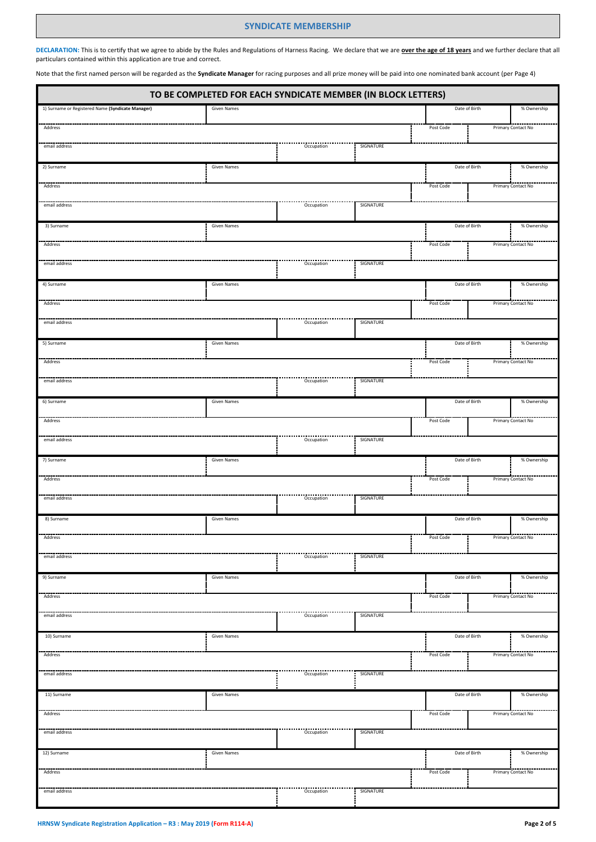### **SYNDICATE MEMBERSHIP**

**DECLARATION:** This is to certify that we agree to abide by the Rules and Regulations of Harness Racing. We declare that we are **over the age of 18 years** and we further declare that all particulars contained within this application are true and correct.

Note that the first named person will be regarded as the **Syndicate Manager** for racing purposes and all prize money will be paid into one nominated bank account (per Page 4)

L

| TO BE COMPLETED FOR EACH SYNDICATE MEMBER (IN BLOCK LETTERS) |                    |                                   |           |               |  |                    |
|--------------------------------------------------------------|--------------------|-----------------------------------|-----------|---------------|--|--------------------|
| 1) Surname or Registered Name (Syndicate Manager)            | Given Names        |                                   |           | Date of Birth |  | % Ownership        |
| Address                                                      |                    |                                   |           | Post Code     |  | Primary Contact No |
| email address                                                |                    | Occupation                        | SIGNATURE |               |  |                    |
| 2) Surname                                                   | Given Names        |                                   |           | Date of Birth |  | % Ownership        |
| Address                                                      |                    |                                   |           | Post Code     |  | Primary Contact No |
| email address                                                |                    | Occupation                        | SIGNATURE |               |  |                    |
| 3) Surname                                                   | Given Names        |                                   |           | Date of Birth |  | % Ownership        |
| Address                                                      |                    |                                   |           | Post Code     |  | Primary Contact No |
| email address                                                |                    | Occupation                        | SIGNATURE |               |  |                    |
| 4) Surname                                                   | Given Names        |                                   |           | Date of Birth |  | % Ownership        |
| Address                                                      |                    |                                   |           | Post Code     |  | Primary Contact No |
| email address                                                |                    | Occupation                        | SIGNATURE |               |  |                    |
| 5) Surname                                                   | Given Names        |                                   |           | Date of Birth |  | % Ownership        |
| Address                                                      |                    |                                   |           | Post Code     |  | Primary Contact No |
| email address                                                |                    | Occupation                        | SIGNATURE |               |  |                    |
| 6) Surname                                                   | Given Names        |                                   |           | Date of Birth |  | % Ownership        |
| Address                                                      |                    |                                   |           | Post Code     |  | Primary Contact No |
| email address                                                |                    | Occupation                        | SIGNATURE |               |  |                    |
| 7) Surname                                                   | Given Names        |                                   |           | Date of Birth |  | % Ownership        |
| Address                                                      |                    |                                   |           | Post Code     |  | Primary Contact No |
| email address                                                |                    | Occupation                        | SIGNATURE |               |  |                    |
| 8) Surname                                                   | <b>Given Names</b> |                                   |           | Date of Birth |  | % Ownership        |
| Address                                                      |                    |                                   |           | Post Code     |  | Primary Contact No |
| email address                                                |                    | -------------------<br>Occupation | SIGNATURE |               |  |                    |
| 9) Surname                                                   | Given Names        |                                   |           | Date of Birth |  | % Ownership        |
| Address                                                      |                    |                                   |           | Post Code     |  | Primary Contact No |
| email address                                                |                    | Occupation                        | SIGNATURE |               |  |                    |
| 10) Surname                                                  | Given Names        |                                   |           | Date of Birth |  | % Ownership        |
| Address                                                      |                    |                                   |           | Post Code     |  | Primary Contact No |
| email address                                                |                    | Occupation                        | SIGNATURE |               |  |                    |
| 11) Surname                                                  | Given Names        |                                   |           | Date of Birth |  | % Ownership        |
| Address                                                      |                    |                                   |           | Post Code     |  | Primary Contact No |
| email address                                                |                    | Occupation                        | SIGNATURE |               |  |                    |
| 12) Surname                                                  | Given Names        |                                   |           | Date of Birth |  | % Ownership        |
| Address                                                      |                    |                                   |           | Post Code     |  | Primary Contact No |
| email address                                                |                    | Occupation                        | SIGNATURE |               |  |                    |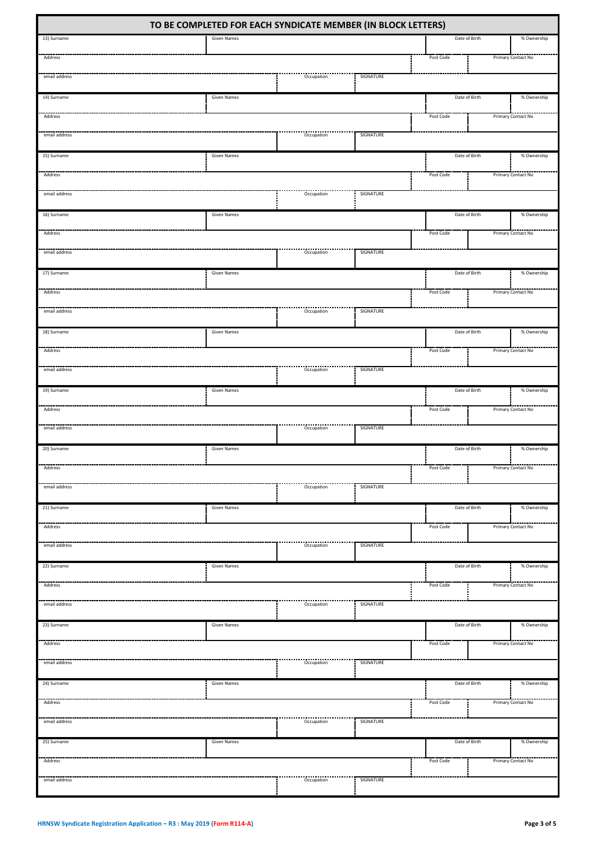| TO BE COMPLETED FOR EACH SYNDICATE MEMBER (IN BLOCK LETTERS) |                    |                         |           |               |  |                    |
|--------------------------------------------------------------|--------------------|-------------------------|-----------|---------------|--|--------------------|
| 13) Surname                                                  | <b>Given Names</b> |                         |           | Date of Birth |  | % Ownership        |
| Address                                                      |                    |                         |           | Post Code     |  | Primary Contact No |
| email address                                                |                    | Occupation              | SIGNATURE |               |  |                    |
| 14) Surname                                                  | Given Names        |                         |           | Date of Birth |  | % Ownership        |
| Address                                                      |                    |                         |           | Post Code     |  | Primary Contact No |
| email address                                                |                    | Occupation              | SIGNATURE |               |  |                    |
| 15) Surname                                                  | Given Names        |                         |           | Date of Birth |  | % Ownership        |
| Address                                                      |                    |                         |           | Post Code     |  | Primary Contact No |
| email address                                                |                    | Occupation              | SIGNATURE |               |  |                    |
| 16) Surname                                                  | Given Names        |                         |           | Date of Birth |  | % Ownership        |
| Address                                                      |                    |                         |           | Post Code     |  | Primary Contact No |
| email address                                                |                    | Occupation              | SIGNATURE |               |  |                    |
| 17) Surname                                                  | Given Names        |                         |           | Date of Birth |  | % Ownership        |
| Address                                                      |                    |                         |           | Post Code     |  | Primary Contact No |
| email address                                                |                    | ---------<br>Occupation | SIGNATURE |               |  |                    |
| 18) Surname                                                  | Given Names        |                         |           | Date of Birth |  | % Ownership        |
| Address                                                      |                    |                         |           | Post Code     |  | Primary Contact No |
| email address                                                |                    | Occupation              | SIGNATURE |               |  |                    |
| 19) Surname                                                  | Given Names        |                         |           | Date of Birth |  | % Ownership        |
| Address                                                      |                    |                         |           | Post Code     |  | Primary Contact No |
| email address                                                |                    | Occupation              | SIGNATURE |               |  |                    |
| 20) Surname                                                  | Given Names        |                         |           | Date of Birth |  | % Ownership        |
| Address                                                      |                    |                         |           | Post Code     |  | Primary Contact No |
| email address                                                |                    | Occupation              | SIGNATURE |               |  |                    |
| 21) Surname                                                  | Given Names        |                         |           | Date of Birth |  | % Ownership        |
| Address                                                      |                    |                         |           | Post Code     |  | Primary Contact No |
| email address                                                |                    | <br>Occupation          | SIGNATURE |               |  |                    |
| 22) Surname                                                  | <b>Given Names</b> |                         |           | Date of Birth |  | % Ownership        |
| Address                                                      |                    |                         |           | Post Code     |  | Primary Contact No |
| email address                                                |                    | Occupation              | SIGNATURE |               |  |                    |
| 23) Surname                                                  | Given Names        |                         |           | Date of Birth |  | % Ownership        |
| Address                                                      |                    |                         |           | Post Code     |  | Primary Contact No |
| SIGNATURE<br>email address<br>Occupation                     |                    |                         |           |               |  |                    |
| 24) Surname                                                  | Given Names        |                         |           | Date of Birth |  | % Ownership        |
| Address                                                      |                    |                         |           | Post Code     |  | Primary Contact No |
| email address                                                |                    | <br>Occupation          | SIGNATURE |               |  |                    |
| 25) Surname                                                  | Given Names        |                         |           | Date of Birth |  | % Ownership        |
| Address                                                      |                    |                         |           | Post Code     |  | Primary Contact No |
| email address                                                |                    | Occupation              | SIGNATURE |               |  |                    |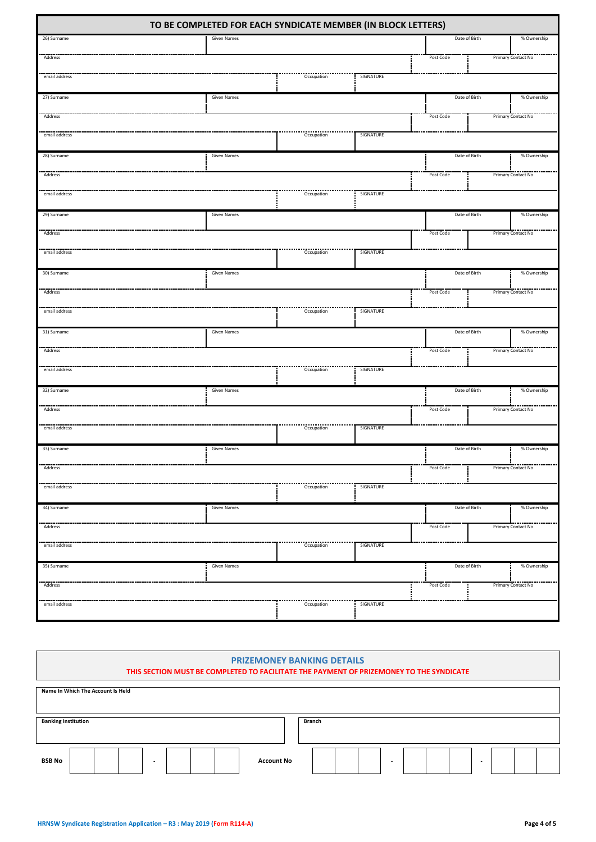| TO BE COMPLETED FOR EACH SYNDICATE MEMBER (IN BLOCK LETTERS) |                    |                           |           |               |             |                    |
|--------------------------------------------------------------|--------------------|---------------------------|-----------|---------------|-------------|--------------------|
| 26) Surname                                                  | Given Names        |                           |           | Date of Birth |             | % Ownership        |
| Address                                                      |                    |                           |           | Post Code     |             | Primary Contact No |
| email address                                                |                    | Occupation                | SIGNATURE |               |             |                    |
| 27) Surname                                                  | Given Names        |                           |           | Date of Birth |             | % Ownership        |
| Address                                                      |                    |                           |           | Post Code     |             | Primary Contact No |
|                                                              |                    |                           |           |               |             |                    |
| email address                                                |                    | Occupation                | SIGNATURE |               |             |                    |
| 28) Surname                                                  | <b>Given Names</b> |                           |           | Date of Birth | % Ownership |                    |
| Address                                                      |                    |                           |           | Post Code     |             | Primary Contact No |
| email address                                                |                    | -----------<br>Occupation | SIGNATURE |               |             |                    |
| 29) Surname                                                  | Given Names        |                           |           | Date of Birth |             | % Ownership        |
|                                                              |                    |                           |           |               |             |                    |
| Address                                                      |                    |                           |           | Post Code     |             | Primary Contact No |
| email address                                                |                    | Occupation                | SIGNATURE |               |             |                    |
| 30) Surname                                                  | <b>Given Names</b> |                           |           | Date of Birth |             | % Ownership        |
| Address                                                      |                    |                           |           | Post Code     |             | Primary Contact No |
| email address                                                |                    | Occupation                | SIGNATURE |               |             |                    |
| 31) Surname                                                  | <b>Given Names</b> |                           |           | Date of Birth |             | % Ownership        |
| Address                                                      |                    |                           |           | Post Code     |             | Primary Contact No |
| email address                                                |                    | Occupation                | SIGNATURE |               |             |                    |
| 32) Surname                                                  | <b>Given Names</b> |                           |           | Date of Birth |             | % Ownership        |
| Address                                                      |                    |                           |           | Post Code     |             | Primary Contact No |
|                                                              |                    |                           |           |               |             |                    |
| email address                                                |                    | Occupation                | SIGNATURE |               |             |                    |
| 33) Surname                                                  | <b>Given Names</b> |                           |           | Date of Birth |             | % Ownership        |
| Address                                                      |                    |                           |           | Post Code     |             | Primary Contact No |
| email address                                                |                    | Occupation                | SIGNATURE |               |             |                    |
| 34) Surname                                                  | Given Names        |                           |           | Date of Birth |             | % Ownership        |
| Address                                                      |                    |                           |           | Post Code     |             | Primary Contact No |
| email address                                                |                    | <br>Occupation            | SIGNATURE |               |             |                    |
|                                                              |                    |                           |           |               |             |                    |
| 35) Surname                                                  | <b>Given Names</b> |                           |           | Date of Birth |             | % Ownership        |
| Address                                                      |                    |                           |           | Post Code     |             | Primary Contact No |
| email address                                                |                    | Occupation                | SIGNATURE |               |             |                    |

| <b>PRIZEMONEY BANKING DETAILS</b><br>THIS SECTION MUST BE COMPLETED TO FACILITATE THE PAYMENT OF PRIZEMONEY TO THE SYNDICATE |                          |  |  |  |  |
|------------------------------------------------------------------------------------------------------------------------------|--------------------------|--|--|--|--|
| Name In Which The Account Is Held                                                                                            |                          |  |  |  |  |
| <b>Banking Institution</b>                                                                                                   | <b>Branch</b>            |  |  |  |  |
| <b>BSB No</b><br><b>Account No</b>                                                                                           | $\overline{\phantom{a}}$ |  |  |  |  |